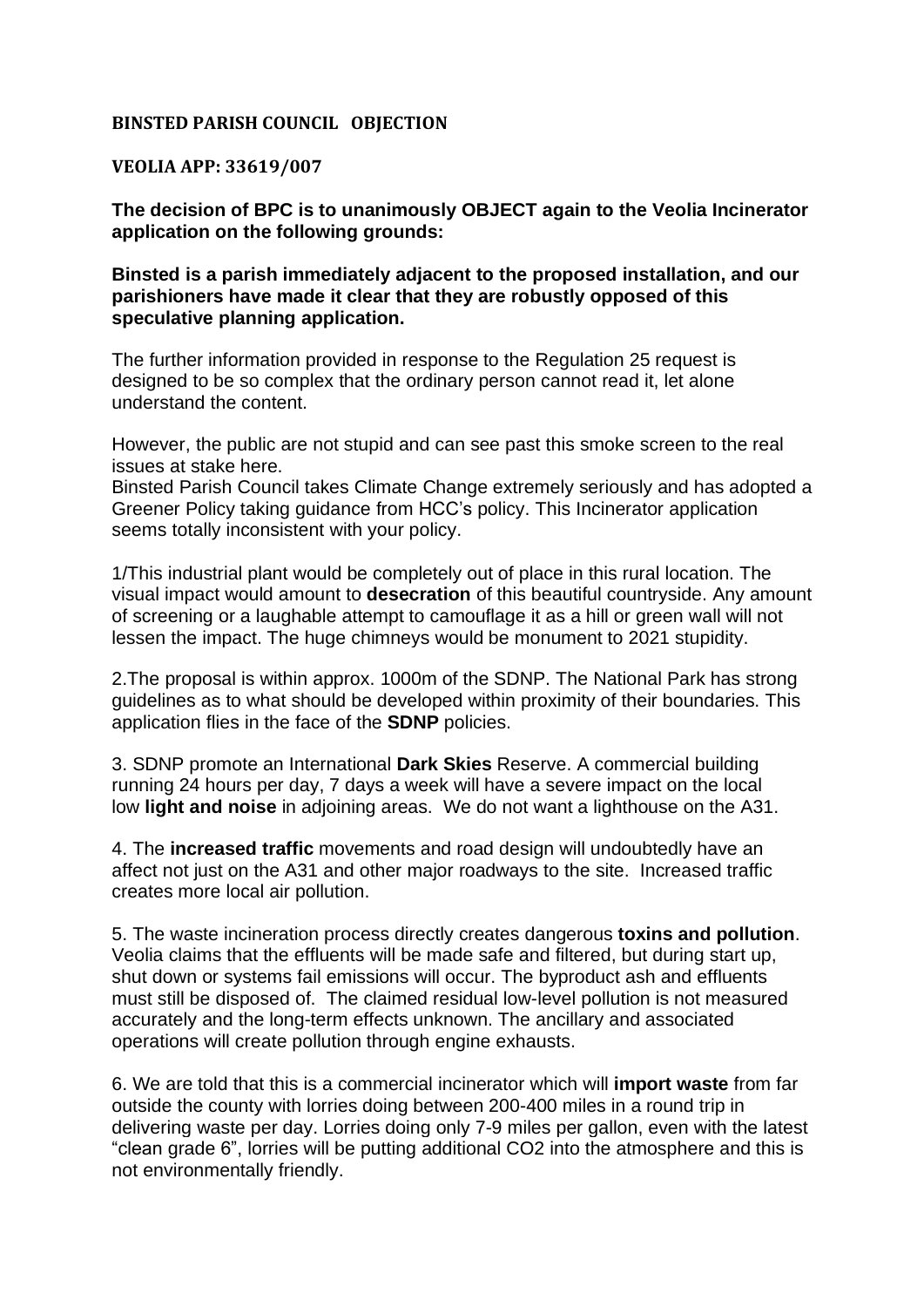## **BINSTED PARISH COUNCIL OBJECTION**

## **VEOLIA APP: 33619/007**

**The decision of BPC is to unanimously OBJECT again to the Veolia Incinerator application on the following grounds:**

## **Binsted is a parish immediately adjacent to the proposed installation, and our parishioners have made it clear that they are robustly opposed of this speculative planning application.**

The further information provided in response to the Regulation 25 request is designed to be so complex that the ordinary person cannot read it, let alone understand the content.

However, the public are not stupid and can see past this smoke screen to the real issues at stake here.

Binsted Parish Council takes Climate Change extremely seriously and has adopted a Greener Policy taking guidance from HCC's policy. This Incinerator application seems totally inconsistent with your policy.

1/This industrial plant would be completely out of place in this rural location. The visual impact would amount to **desecration** of this beautiful countryside. Any amount of screening or a laughable attempt to camouflage it as a hill or green wall will not lessen the impact. The huge chimneys would be monument to 2021 stupidity.

2.The proposal is within approx. 1000m of the SDNP. The National Park has strong guidelines as to what should be developed within proximity of their boundaries. This application flies in the face of the **SDNP** policies.

3. SDNP promote an International **Dark Skies** Reserve. A commercial building running 24 hours per day, 7 days a week will have a severe impact on the local low **light and noise** in adjoining areas. We do not want a lighthouse on the A31.

4. The **increased traffic** movements and road design will undoubtedly have an affect not just on the A31 and other major roadways to the site. Increased traffic creates more local air pollution.

5. The waste incineration process directly creates dangerous **toxins and pollution**. Veolia claims that the effluents will be made safe and filtered, but during start up, shut down or systems fail emissions will occur. The byproduct ash and effluents must still be disposed of. The claimed residual low-level pollution is not measured accurately and the long-term effects unknown. The ancillary and associated operations will create pollution through engine exhausts.

6. We are told that this is a commercial incinerator which will **import waste** from far outside the county with lorries doing between 200-400 miles in a round trip in delivering waste per day. Lorries doing only 7-9 miles per gallon, even with the latest "clean grade 6", lorries will be putting additional CO2 into the atmosphere and this is not environmentally friendly.